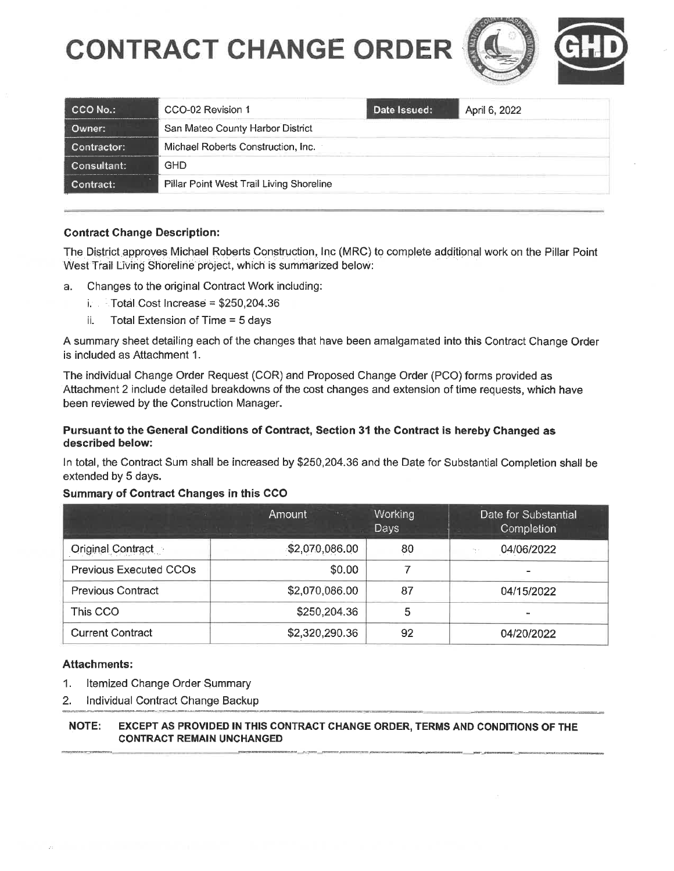# **CONTRACT CHANGE ORDER**





| $\mathsf{CCO}$ No.: | CCO-02 Revision 1                        | Date Issued: | April 6, 2022 |  |
|---------------------|------------------------------------------|--------------|---------------|--|
| Owner:              | San Mateo County Harbor District         |              |               |  |
| Contractor:         | Michael Roberts Construction, Inc.       |              |               |  |
| Consultant:         | GHD                                      |              |               |  |
| Contract:           | Pillar Point West Trail Living Shoreline |              |               |  |

### Contract Change Description:

The District approves Michael Roberts Construction, Inc (MRC) to complete additipngl work on the Pillar Point West Trail Living Shoreline project, which is summarized below:

- a. Changes to the original Contract Work including:
	- i. Total Cost Increase = \$250,204.36
	- ii. Total Extension of Time = 5 days

A summary sheet detailing each of the changes that have been amalgamated into this Contract Change Order is included as Attachment 1.

The individual Change Order Request (COR) and Proposed Change Order (PCO) forms provided as Attachment 2 include detailed breakdowns of the cost changes and extension of time requests, which have been reviewed by the Construction Manager.

#### Pursuant to the General Conditions of Contract, Section 31 the Contract is hereby Changed as described below:

In total, the Contract Sum shall be increased by \$250,204.36 and the Date for Substantial Completion shall be extended by 5 days.

#### Summary of Contract Changes in this CCO

|                               | Amount<br>$\mathcal{W}$ . | <b>Working</b><br>Days | Date for Substantial<br>Completion |
|-------------------------------|---------------------------|------------------------|------------------------------------|
| Original Contract             | \$2,070,086.00            | 80                     | 04/06/2022<br>m -                  |
| <b>Previous Executed CCOs</b> | \$0.00                    |                        |                                    |
| <b>Previous Contract</b>      | \$2,070,086.00            | 87                     | 04/15/2022                         |
| This CCO                      | \$250,204.36              | 5                      | $\overline{a}$                     |
| <b>Current Contract</b>       | \$2,320,290.36            | 92                     | 04/20/2022                         |

## Attachments:

- 1. Itemized Change Order Summary
- 2. Individual Contract Change Backup

#### NOTE: EXCEPT AS PROVIDED IN THIS CONTRACT CHANGE ORDER, TERMS AND CONDITIONS OF THE CONTRACT REMAIN UNCHANGED